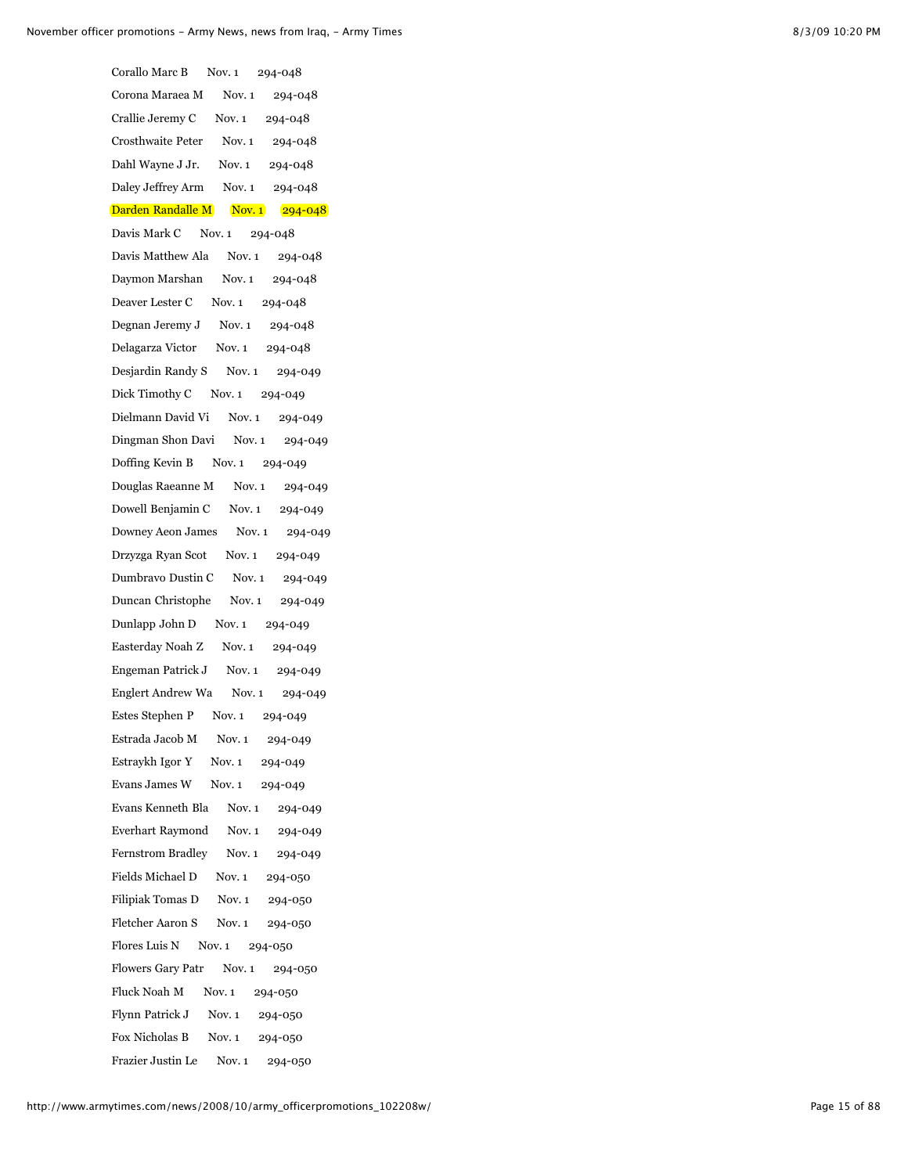| Corallo Marc B<br>Nov. 1 294-048     |  |  |  |  |
|--------------------------------------|--|--|--|--|
| Corona Maraea M Nov. 1 294-048       |  |  |  |  |
| Crallie Jeremy C Nov. 1 294-048      |  |  |  |  |
| Crosthwaite Peter Nov. 1 294-048     |  |  |  |  |
| Dahl Wayne J Jr. Nov. 1 294-048      |  |  |  |  |
| Daley Jeffrey Arm Nov. 1 294-048     |  |  |  |  |
| Darden Randalle M Nov. 1 294-048     |  |  |  |  |
| Davis Mark C Nov. 1 294-048          |  |  |  |  |
| Davis Matthew Ala Nov. 1 294-048     |  |  |  |  |
| Daymon Marshan Nov. 1 294-048        |  |  |  |  |
| Deaver Lester C Nov. 1 294-048       |  |  |  |  |
| Degnan Jeremy J Nov. 1 294-048       |  |  |  |  |
| Delagarza Victor Nov. 1 294-048      |  |  |  |  |
| Desjardin Randy S Nov. 1 294-049     |  |  |  |  |
| Dick Timothy C Nov. 1 294-049        |  |  |  |  |
| Dielmann David Vi Nov. 1 294-049     |  |  |  |  |
| Dingman Shon Davi Nov. 1 294-049     |  |  |  |  |
| Doffing Kevin B Nov. 1 294-049       |  |  |  |  |
| Douglas Raeanne M Nov. 1 294-049     |  |  |  |  |
| Dowell Benjamin C Nov. 1 294-049     |  |  |  |  |
| Downey Aeon James Nov. 1 294-049     |  |  |  |  |
| Drzyzga Ryan Scot Nov. 1 294-049     |  |  |  |  |
| Dumbravo Dustin C Nov. 1 294-049     |  |  |  |  |
| Duncan Christophe Nov. 1 294-049     |  |  |  |  |
| Dunlapp John D Nov. 1 294-049        |  |  |  |  |
| Easterday Noah Z Nov. 1 294-049      |  |  |  |  |
| Engeman Patrick J Nov. 1 294-049     |  |  |  |  |
| Englert Andrew Wa Nov. 1 294-049     |  |  |  |  |
| Estes Stephen P Nov. 1 294-049       |  |  |  |  |
| Estrada Jacob M<br>Nov. 1<br>294-049 |  |  |  |  |
| Estraykh Igor Y Nov. 1 294-049       |  |  |  |  |
| Evans James W Nov. 1 294-049         |  |  |  |  |
| Evans Kenneth Bla Nov. 1 294-049     |  |  |  |  |
| Everhart Raymond Nov. 1 294-049      |  |  |  |  |
| Fernstrom Bradley Nov. 1 294-049     |  |  |  |  |
| Fields Michael D Nov. 1 294-050      |  |  |  |  |
| Filipiak Tomas D Nov. 1 294-050      |  |  |  |  |
| Fletcher Aaron S Nov. 1 294-050      |  |  |  |  |
| Flores Luis N Nov. 1 294-050         |  |  |  |  |
| Flowers Gary Patr Nov. 1 294-050     |  |  |  |  |
| Fluck Noah M Nov. 1 294-050          |  |  |  |  |
| Flynn Patrick J Nov. 1 294-050       |  |  |  |  |
| Fox Nicholas B Nov. 1 294-050        |  |  |  |  |
| Frazier Justin Le Nov. 1 294-050     |  |  |  |  |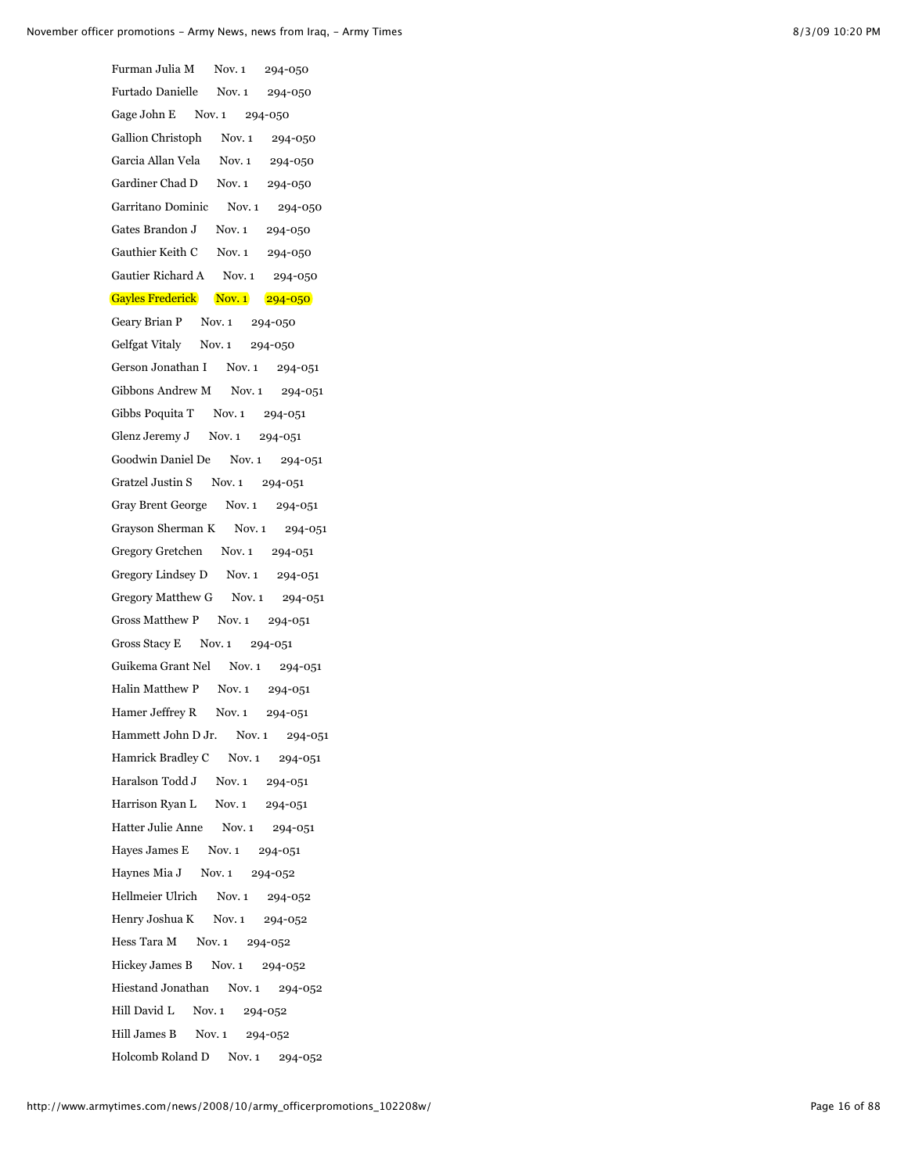Furman Julia M Nov. 1 294-050 Furtado Danielle Nov. 1 294-050 Gage John E Nov. 1 294-050 Gallion Christoph Nov. 1 294-050 Garcia Allan Vela Nov. 1 294-050 Gardiner Chad D Nov. 1 294-050 Garritano Dominic Nov. 1 294-050 Gates Brandon J Nov. 1 294-050 Gauthier Keith C Nov. 1 294-050 Gautier Richard A Nov. 1 294-050 Gayles Frederick Nov. 1 294-050 Geary Brian P Nov. 1 294-050 Gelfgat Vitaly Nov. 1 294-050 Gerson Jonathan I Nov. 1 294-051 Gibbons Andrew M Nov. 1 294-051 Gibbs Poquita T Nov. 1 294-051 Glenz Jeremy J Nov. 1 294-051 Goodwin Daniel De Nov. 1 294-051 Gratzel Justin S Nov. 1 294-051 Gray Brent George Nov. 1 294-051 Grayson Sherman K Nov. 1 294-051 Gregory Gretchen Nov. 1 294-051 Gregory Lindsey D Nov. 1 294-051 Gregory Matthew G Nov. 1 294-051 Gross Matthew P Nov. 1 294-051 Gross Stacy E Nov. 1 294-051 Guikema Grant Nel Nov. 1 294-051 Halin Matthew P Nov. 1 294-051 Hamer Jeffrey R Nov. 1 294-051 Hammett John D Jr. Nov. 1 294-051 Hamrick Bradley C Nov. 1 294-051 Haralson Todd J Nov. 1 294-051 Harrison Ryan L Nov. 1 294-051 Hatter Julie Anne Nov. 1 294-051 Hayes James E Nov. 1 294-051 Haynes Mia J Nov. 1 294-052 Hellmeier Ulrich Nov. 1 294-052 Henry Joshua K Nov. 1 294-052 Hess Tara M Nov. 1 294-052 Hickey James B Nov. 1 294-052 Hiestand Jonathan Nov. 1 294-052 Hill David L Nov. 1 294-052 Hill James B Nov. 1 294-052 Holcomb Roland D Nov. 1 294-052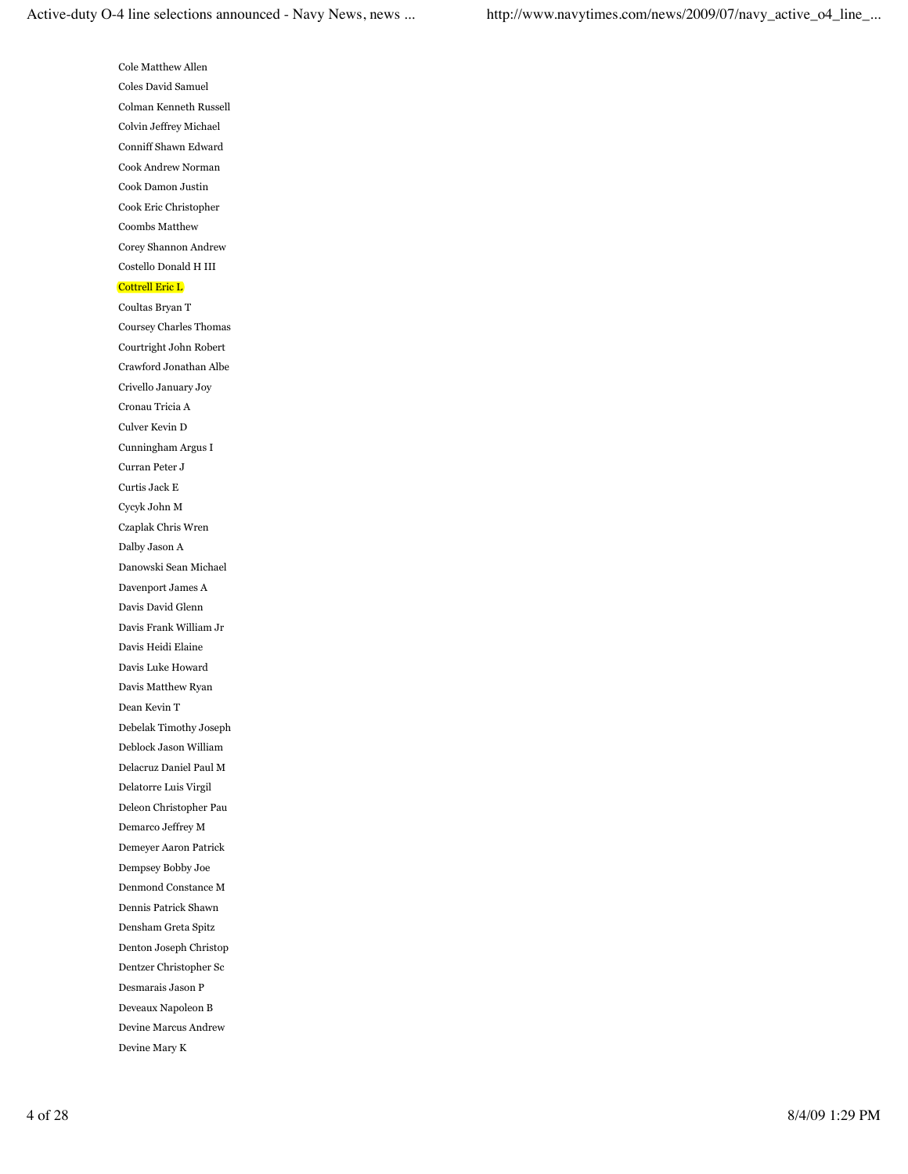Cole Matthew Allen Coles David Samuel Colman Kenneth Russell Colvin Jeffrey Michael Conniff Shawn Edward Cook Andrew Norman Cook Damon Justin Cook Eric Christopher Coombs Matthew Corey Shannon Andrew Costello Donald H III Cottrell Eric L Coultas Bryan T

Coursey Charles Thomas Courtright John Robert Crawford Jonathan Albe Crivello January Joy Cronau Tricia A Culver Kevin D Cunningham Argus I Curran Peter J Curtis Jack E Cycyk John M Czaplak Chris Wren Dalby Jason A Danowski Sean Michael Davenport James A Davis David Glenn Davis Frank William Jr Davis Heidi Elaine Davis Luke Howard Davis Matthew Ryan Dean Kevin T Debelak Timothy Joseph Deblock Jason William Delacruz Daniel Paul M Delatorre Luis Virgil Deleon Christopher Pau Demarco Jeffrey M Demeyer Aaron Patrick Dempsey Bobby Joe Denmond Constance M Dennis Patrick Shawn Densham Greta Spitz Denton Joseph Christop Dentzer Christopher Sc Desmarais Jason P Deveaux Napoleon B Devine Marcus Andrew Devine Mary K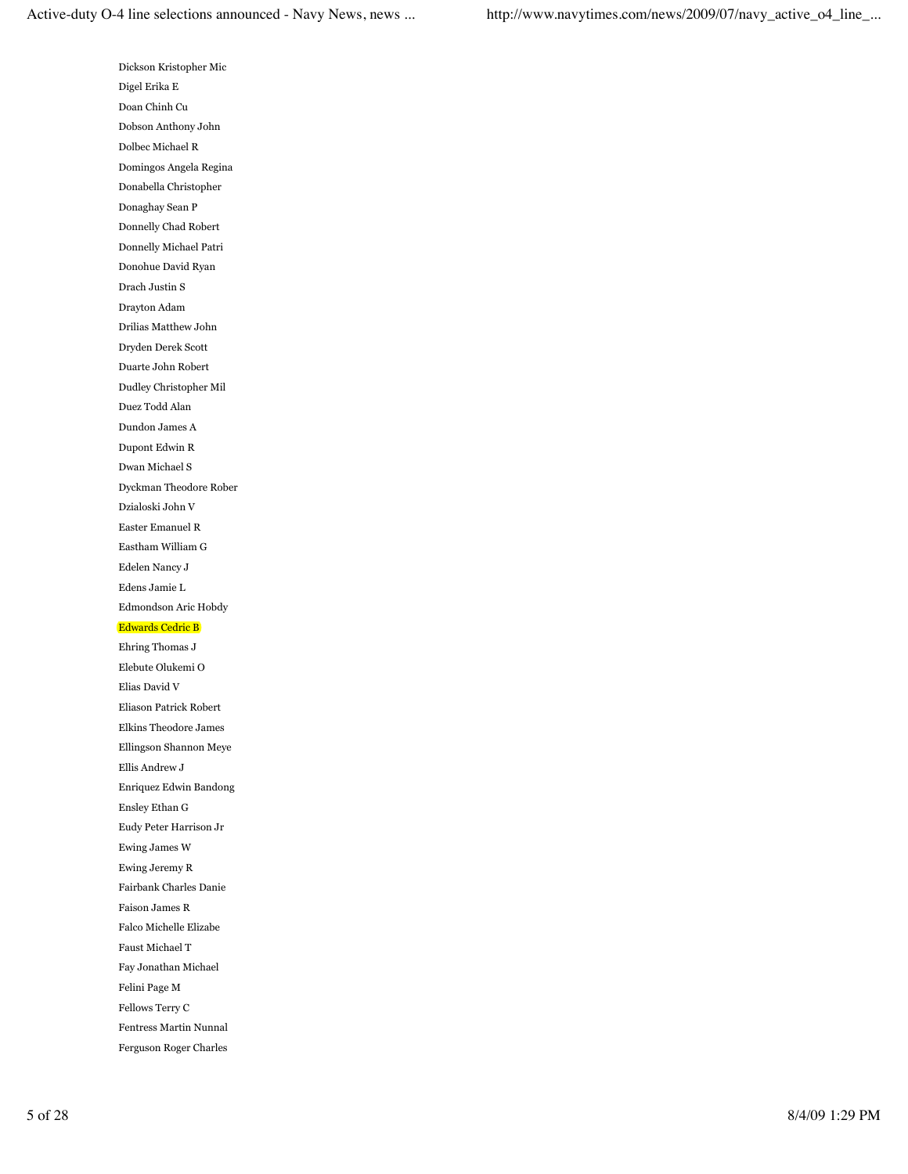Dickson Kristopher Mic Digel Erika E Doan Chinh Cu Dobson Anthony John Dolbec Michael R Domingos Angela Regina Donabella Christopher Donaghay Sean P Donnelly Chad Robert Donnelly Michael Patri Donohue David Ryan Drach Justin S Drayton Adam Drilias Matthew John Dryden Derek Scott Duarte John Robert Dudley Christopher Mil Duez Todd Alan Dundon James A Dupont Edwin R Dwan Michael S Dyckman Theodore Rober Dzialoski John V Easter Emanuel R Eastham William G Edelen Nancy J Edens Jamie L Edmondson Aric Hobdy Edwards Cedric B Ehring Thomas J Elebute Olukemi O Elias David V Eliason Patrick Robert Elkins Theodore James Ellingson Shannon Meye Ellis Andrew J Enriquez Edwin Bandong Ensley Ethan G Eudy Peter Harrison Jr Ewing James W Ewing Jeremy R Fairbank Charles Danie Faison James R Falco Michelle Elizabe Faust Michael T

Fay Jonathan Michael

Felini Page M

Fellows Terry C

Fentress Martin Nunnal

Ferguson Roger Charles